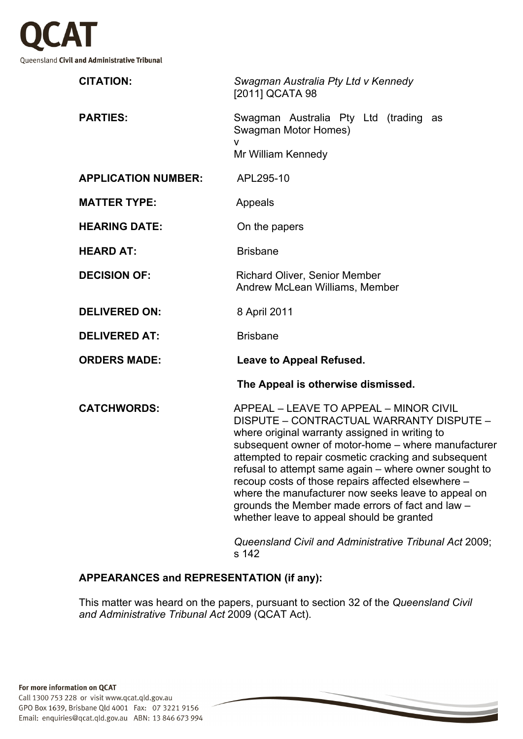

| <b>CITATION:</b>                   | Swagman Australia Pty Ltd v Kennedy<br>[2011] QCATA 98                                                                                                                                                                                                                                                                                                                                                                                                                                                                     |
|------------------------------------|----------------------------------------------------------------------------------------------------------------------------------------------------------------------------------------------------------------------------------------------------------------------------------------------------------------------------------------------------------------------------------------------------------------------------------------------------------------------------------------------------------------------------|
| <b>PARTIES:</b>                    | Swagman Australia Pty Ltd (trading as<br><b>Swagman Motor Homes)</b><br>Mr William Kennedy                                                                                                                                                                                                                                                                                                                                                                                                                                 |
| <b>APPLICATION NUMBER:</b>         | APL295-10                                                                                                                                                                                                                                                                                                                                                                                                                                                                                                                  |
| <b>MATTER TYPE:</b>                | Appeals                                                                                                                                                                                                                                                                                                                                                                                                                                                                                                                    |
| <b>HEARING DATE:</b>               | On the papers                                                                                                                                                                                                                                                                                                                                                                                                                                                                                                              |
| <b>HEARD AT:</b>                   | <b>Brisbane</b>                                                                                                                                                                                                                                                                                                                                                                                                                                                                                                            |
| <b>DECISION OF:</b>                | <b>Richard Oliver, Senior Member</b><br>Andrew McLean Williams, Member                                                                                                                                                                                                                                                                                                                                                                                                                                                     |
| <b>DELIVERED ON:</b>               | 8 April 2011                                                                                                                                                                                                                                                                                                                                                                                                                                                                                                               |
| <b>DELIVERED AT:</b>               | <b>Brisbane</b>                                                                                                                                                                                                                                                                                                                                                                                                                                                                                                            |
| <b>ORDERS MADE:</b>                | Leave to Appeal Refused.                                                                                                                                                                                                                                                                                                                                                                                                                                                                                                   |
| The Appeal is otherwise dismissed. |                                                                                                                                                                                                                                                                                                                                                                                                                                                                                                                            |
| <b>CATCHWORDS:</b>                 | APPEAL - LEAVE TO APPEAL - MINOR CIVIL<br>DISPUTE - CONTRACTUAL WARRANTY DISPUTE -<br>where original warranty assigned in writing to<br>subsequent owner of motor-home - where manufacturer<br>attempted to repair cosmetic cracking and subsequent<br>refusal to attempt same again - where owner sought to<br>recoup costs of those repairs affected elsewhere -<br>where the manufacturer now seeks leave to appeal on<br>grounds the Member made errors of fact and law -<br>whether leave to appeal should be granted |
|                                    |                                                                                                                                                                                                                                                                                                                                                                                                                                                                                                                            |

*Queensland Civil and Administrative Tribunal Act* 2009; s 142

# **APPEARANCES and REPRESENTATION (if any):**

This matter was heard on the papers, pursuant to section 32 of the *Queensland Civil and Administrative Tribunal Act* 2009 (QCAT Act).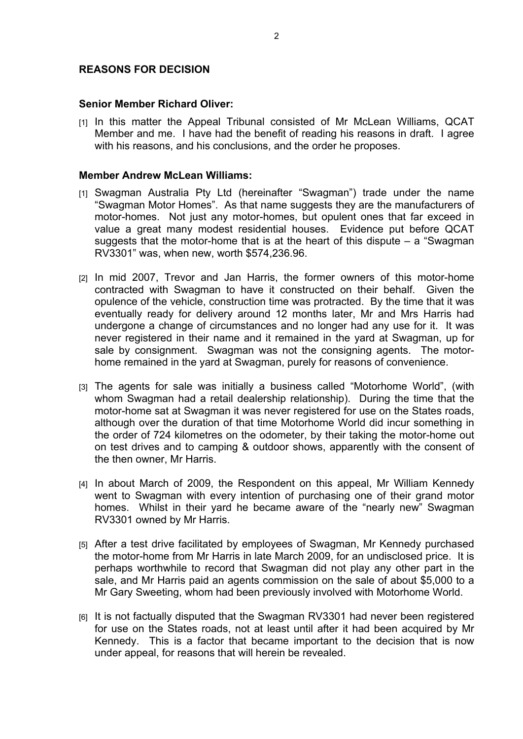## **REASONS FOR DECISION**

#### **Senior Member Richard Oliver:**

[1] In this matter the Appeal Tribunal consisted of Mr McLean Williams, QCAT Member and me. I have had the benefit of reading his reasons in draft. I agree with his reasons, and his conclusions, and the order he proposes.

#### **Member Andrew McLean Williams:**

- [1] Swagman Australia Pty Ltd (hereinafter "Swagman") trade under the name "Swagman Motor Homes". As that name suggests they are the manufacturers of motor-homes. Not just any motor-homes, but opulent ones that far exceed in value a great many modest residential houses. Evidence put before QCAT suggests that the motor-home that is at the heart of this dispute – a "Swagman RV3301" was, when new, worth \$574,236.96.
- [2] In mid 2007, Trevor and Jan Harris, the former owners of this motor-home contracted with Swagman to have it constructed on their behalf. Given the opulence of the vehicle, construction time was protracted. By the time that it was eventually ready for delivery around 12 months later, Mr and Mrs Harris had undergone a change of circumstances and no longer had any use for it. It was never registered in their name and it remained in the yard at Swagman, up for sale by consignment. Swagman was not the consigning agents. The motorhome remained in the yard at Swagman, purely for reasons of convenience.
- [3] The agents for sale was initially a business called "Motorhome World", (with whom Swagman had a retail dealership relationship). During the time that the motor-home sat at Swagman it was never registered for use on the States roads, although over the duration of that time Motorhome World did incur something in the order of 724 kilometres on the odometer, by their taking the motor-home out on test drives and to camping & outdoor shows, apparently with the consent of the then owner, Mr Harris.
- [4] In about March of 2009, the Respondent on this appeal, Mr William Kennedy went to Swagman with every intention of purchasing one of their grand motor homes. Whilst in their yard he became aware of the "nearly new" Swagman RV3301 owned by Mr Harris.
- [5] After a test drive facilitated by employees of Swagman, Mr Kennedy purchased the motor-home from Mr Harris in late March 2009, for an undisclosed price. It is perhaps worthwhile to record that Swagman did not play any other part in the sale, and Mr Harris paid an agents commission on the sale of about \$5,000 to a Mr Gary Sweeting, whom had been previously involved with Motorhome World.
- [6] It is not factually disputed that the Swagman RV3301 had never been registered for use on the States roads, not at least until after it had been acquired by Mr Kennedy. This is a factor that became important to the decision that is now under appeal, for reasons that will herein be revealed.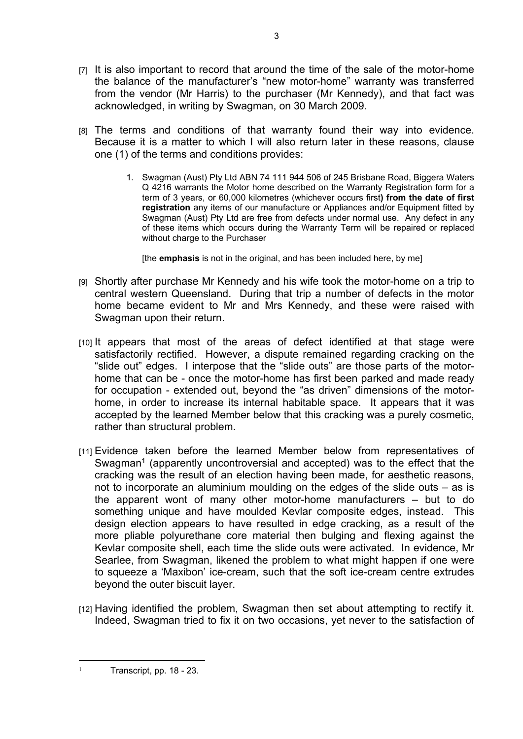- $[7]$  It is also important to record that around the time of the sale of the motor-home the balance of the manufacturer's "new motor-home" warranty was transferred from the vendor (Mr Harris) to the purchaser (Mr Kennedy), and that fact was acknowledged, in writing by Swagman, on 30 March 2009.
- [8] The terms and conditions of that warranty found their way into evidence. Because it is a matter to which I will also return later in these reasons, clause one (1) of the terms and conditions provides:
	- 1. Swagman (Aust) Pty Ltd ABN 74 111 944 506 of 245 Brisbane Road, Biggera Waters Q 4216 warrants the Motor home described on the Warranty Registration form for a term of 3 years, or 60,000 kilometres (whichever occurs first**) from the date of first registration** any items of our manufacture or Appliances and/or Equipment fitted by Swagman (Aust) Pty Ltd are free from defects under normal use. Any defect in any of these items which occurs during the Warranty Term will be repaired or replaced without charge to the Purchaser

[the **emphasis** is not in the original, and has been included here, by me]

- [9] Shortly after purchase Mr Kennedy and his wife took the motor-home on a trip to central western Queensland. During that trip a number of defects in the motor home became evident to Mr and Mrs Kennedy, and these were raised with Swagman upon their return.
- [10] It appears that most of the areas of defect identified at that stage were satisfactorily rectified. However, a dispute remained regarding cracking on the "slide out" edges. I interpose that the "slide outs" are those parts of the motorhome that can be - once the motor-home has first been parked and made ready for occupation - extended out, beyond the "as driven" dimensions of the motorhome, in order to increase its internal habitable space. It appears that it was accepted by the learned Member below that this cracking was a purely cosmetic, rather than structural problem.
- [11] Evidence taken before the learned Member below from representatives of Swagman<sup>1</sup> (apparently uncontroversial and accepted) was to the effect that the cracking was the result of an election having been made, for aesthetic reasons, not to incorporate an aluminium moulding on the edges of the slide outs – as is the apparent wont of many other motor-home manufacturers – but to do something unique and have moulded Kevlar composite edges, instead. This design election appears to have resulted in edge cracking, as a result of the more pliable polyurethane core material then bulging and flexing against the Kevlar composite shell, each time the slide outs were activated. In evidence, Mr Searlee, from Swagman, likened the problem to what might happen if one were to squeeze a 'Maxibon' ice-cream, such that the soft ice-cream centre extrudes beyond the outer biscuit layer.
- [12] Having identified the problem, Swagman then set about attempting to rectify it. Indeed, Swagman tried to fix it on two occasions, yet never to the satisfaction of

Transcript, pp. 18 - 23.

1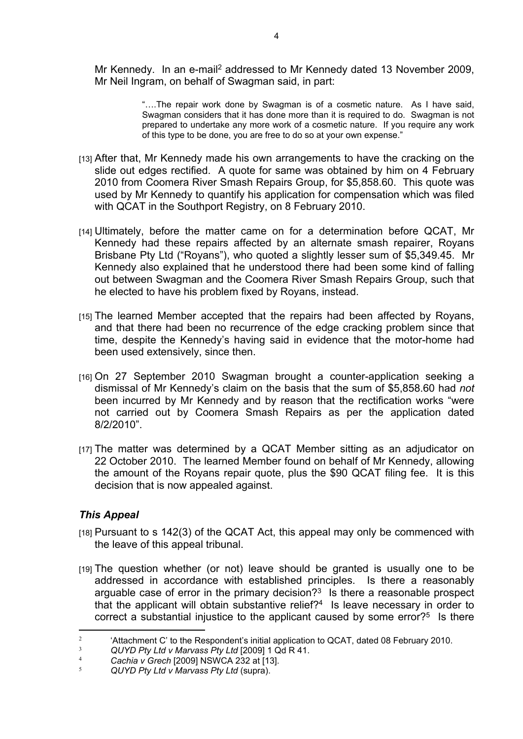Mr Kennedy. In an e-mail<sup>2</sup> addressed to Mr Kennedy dated 13 November 2009, Mr Neil Ingram, on behalf of Swagman said, in part:

> "….The repair work done by Swagman is of a cosmetic nature. As I have said, Swagman considers that it has done more than it is required to do. Swagman is not prepared to undertake any more work of a cosmetic nature. If you require any work of this type to be done, you are free to do so at your own expense."

- [13] After that, Mr Kennedy made his own arrangements to have the cracking on the slide out edges rectified. A quote for same was obtained by him on 4 February 2010 from Coomera River Smash Repairs Group, for \$5,858.60. This quote was used by Mr Kennedy to quantify his application for compensation which was filed with QCAT in the Southport Registry, on 8 February 2010.
- [14] Ultimately, before the matter came on for a determination before QCAT, Mr Kennedy had these repairs affected by an alternate smash repairer, Royans Brisbane Pty Ltd ("Royans"), who quoted a slightly lesser sum of \$5,349.45. Mr Kennedy also explained that he understood there had been some kind of falling out between Swagman and the Coomera River Smash Repairs Group, such that he elected to have his problem fixed by Royans, instead.
- [15] The learned Member accepted that the repairs had been affected by Royans, and that there had been no recurrence of the edge cracking problem since that time, despite the Kennedy's having said in evidence that the motor-home had been used extensively, since then.
- [16] On 27 September 2010 Swagman brought a counter-application seeking a dismissal of Mr Kennedy's claim on the basis that the sum of \$5,858.60 had *not* been incurred by Mr Kennedy and by reason that the rectification works "were not carried out by Coomera Smash Repairs as per the application dated 8/2/2010".
- [17] The matter was determined by a QCAT Member sitting as an adjudicator on 22 October 2010. The learned Member found on behalf of Mr Kennedy, allowing the amount of the Royans repair quote, plus the \$90 QCAT filing fee. It is this decision that is now appealed against.

# *This Appeal*

- [18] Pursuant to s 142(3) of the QCAT Act, this appeal may only be commenced with the leave of this appeal tribunal.
- [19] The question whether (or not) leave should be granted is usually one to be addressed in accordance with established principles. Is there a reasonably arguable case of error in the primary decision? $3$  Is there a reasonable prospect that the applicant will obtain substantive relief?<sup>4</sup> Is leave necessary in order to correct a substantial injustice to the applicant caused by some error?<sup>5</sup> Is there

<sup>2</sup> 'Attachment C' to the Respondent's initial application to QCAT, dated 08 February 2010.

<sup>3</sup> *QUYD Pty Ltd v Marvass Pty Ltd* [2009] 1 Qd R 41.

<sup>4</sup> *Cachia v Grech* [2009] NSWCA 232 at [13].

<sup>5</sup> *QUYD Pty Ltd v Marvass Pty Ltd* (supra).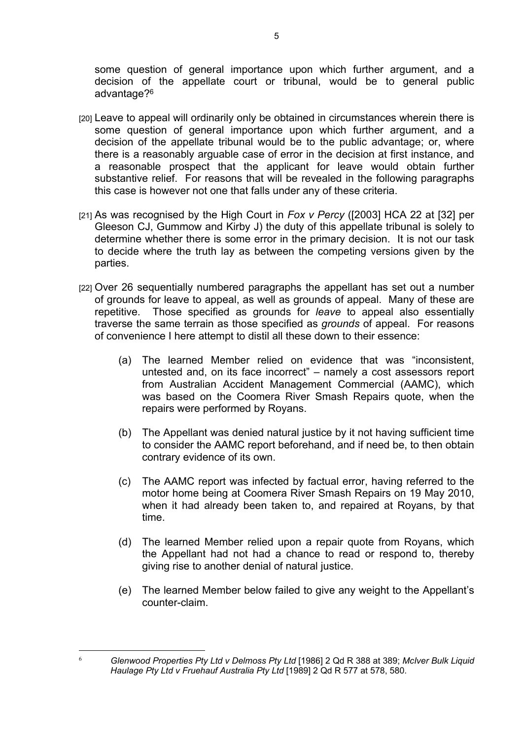some question of general importance upon which further argument, and a decision of the appellate court or tribunal, would be to general public advantage?<sup>6</sup>

- [20] Leave to appeal will ordinarily only be obtained in circumstances wherein there is some question of general importance upon which further argument, and a decision of the appellate tribunal would be to the public advantage; or, where there is a reasonably arguable case of error in the decision at first instance, and a reasonable prospect that the applicant for leave would obtain further substantive relief. For reasons that will be revealed in the following paragraphs this case is however not one that falls under any of these criteria.
- [21] As was recognised by the High Court in *Fox v Percy* ([2003] HCA 22 at [32] per Gleeson CJ, Gummow and Kirby J) the duty of this appellate tribunal is solely to determine whether there is some error in the primary decision. It is not our task to decide where the truth lay as between the competing versions given by the parties.
- [22] Over 26 sequentially numbered paragraphs the appellant has set out a number of grounds for leave to appeal, as well as grounds of appeal. Many of these are repetitive. Those specified as grounds for *leave* to appeal also essentially traverse the same terrain as those specified as *grounds* of appeal. For reasons of convenience I here attempt to distil all these down to their essence:
	- (a) The learned Member relied on evidence that was "inconsistent, untested and, on its face incorrect" – namely a cost assessors report from Australian Accident Management Commercial (AAMC), which was based on the Coomera River Smash Repairs quote, when the repairs were performed by Royans.
	- (b) The Appellant was denied natural justice by it not having sufficient time to consider the AAMC report beforehand, and if need be, to then obtain contrary evidence of its own.
	- (c) The AAMC report was infected by factual error, having referred to the motor home being at Coomera River Smash Repairs on 19 May 2010, when it had already been taken to, and repaired at Royans, by that time.
	- (d) The learned Member relied upon a repair quote from Royans, which the Appellant had not had a chance to read or respond to, thereby giving rise to another denial of natural justice.
	- (e) The learned Member below failed to give any weight to the Appellant's counter-claim.

6

*Glenwood Properties Pty Ltd v Delmoss Pty Ltd* [1986] 2 Qd R 388 at 389; *McIver Bulk Liquid Haulage Pty Ltd v Fruehauf Australia Pty Ltd* [1989] 2 Qd R 577 at 578, 580.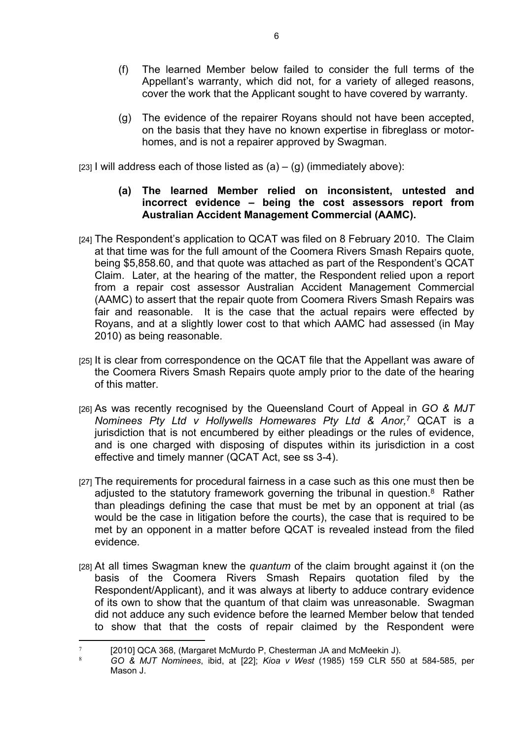- (f) The learned Member below failed to consider the full terms of the Appellant's warranty, which did not, for a variety of alleged reasons, cover the work that the Applicant sought to have covered by warranty.
- (g) The evidence of the repairer Royans should not have been accepted, on the basis that they have no known expertise in fibreglass or motorhomes, and is not a repairer approved by Swagman.

[23] I will address each of those listed as  $(a) - (g)$  (immediately above):

## **(a) The learned Member relied on inconsistent, untested and incorrect evidence – being the cost assessors report from Australian Accident Management Commercial (AAMC).**

- [24] The Respondent's application to QCAT was filed on 8 February 2010. The Claim at that time was for the full amount of the Coomera Rivers Smash Repairs quote, being \$5,858.60, and that quote was attached as part of the Respondent's QCAT Claim. Later, at the hearing of the matter, the Respondent relied upon a report from a repair cost assessor Australian Accident Management Commercial (AAMC) to assert that the repair quote from Coomera Rivers Smash Repairs was fair and reasonable. It is the case that the actual repairs were effected by Royans, and at a slightly lower cost to that which AAMC had assessed (in May 2010) as being reasonable.
- [25] It is clear from correspondence on the QCAT file that the Appellant was aware of the Coomera Rivers Smash Repairs quote amply prior to the date of the hearing of this matter.
- [26] As was recently recognised by the Queensland Court of Appeal in *GO & MJT Nominees Pty Ltd v Hollywells Homewares Pty Ltd & Anor,*<sup>7</sup> QCAT is a jurisdiction that is not encumbered by either pleadings or the rules of evidence, and is one charged with disposing of disputes within its jurisdiction in a cost effective and timely manner (QCAT Act, see ss 3-4).
- [27] The requirements for procedural fairness in a case such as this one must then be adjusted to the statutory framework governing the tribunal in question.<sup>8</sup> Rather than pleadings defining the case that must be met by an opponent at trial (as would be the case in litigation before the courts), the case that is required to be met by an opponent in a matter before QCAT is revealed instead from the filed evidence.
- [28] At all times Swagman knew the *quantum* of the claim brought against it (on the basis of the Coomera Rivers Smash Repairs quotation filed by the Respondent/Applicant), and it was always at liberty to adduce contrary evidence of its own to show that the quantum of that claim was unreasonable. Swagman did not adduce any such evidence before the learned Member below that tended to show that that the costs of repair claimed by the Respondent were

<sup>7</sup> [2010] QCA 368, (Margaret McMurdo P, Chesterman JA and McMeekin J).

<sup>8</sup> *GO & MJT Nominees*, ibid, at [22]; *Kioa v West* (1985) 159 CLR 550 at 584-585, per Mason J.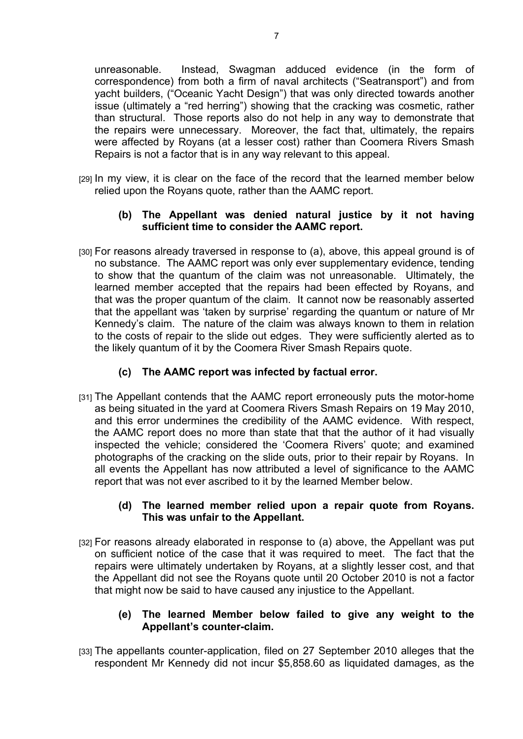unreasonable. Instead, Swagman adduced evidence (in the form of correspondence) from both a firm of naval architects ("Seatransport") and from yacht builders, ("Oceanic Yacht Design") that was only directed towards another issue (ultimately a "red herring") showing that the cracking was cosmetic, rather than structural. Those reports also do not help in any way to demonstrate that the repairs were unnecessary. Moreover, the fact that, ultimately, the repairs were affected by Royans (at a lesser cost) rather than Coomera Rivers Smash Repairs is not a factor that is in any way relevant to this appeal.

[29] In my view, it is clear on the face of the record that the learned member below relied upon the Royans quote, rather than the AAMC report.

## **(b) The Appellant was denied natural justice by it not having sufficient time to consider the AAMC report.**

- [30] For reasons already traversed in response to (a), above, this appeal ground is of no substance. The AAMC report was only ever supplementary evidence, tending to show that the quantum of the claim was not unreasonable. Ultimately, the learned member accepted that the repairs had been effected by Royans, and that was the proper quantum of the claim. It cannot now be reasonably asserted that the appellant was 'taken by surprise' regarding the quantum or nature of Mr Kennedy's claim. The nature of the claim was always known to them in relation to the costs of repair to the slide out edges. They were sufficiently alerted as to the likely quantum of it by the Coomera River Smash Repairs quote.
	- **(c) The AAMC report was infected by factual error.**
- [31] The Appellant contends that the AAMC report erroneously puts the motor-home as being situated in the yard at Coomera Rivers Smash Repairs on 19 May 2010, and this error undermines the credibility of the AAMC evidence. With respect, the AAMC report does no more than state that that the author of it had visually inspected the vehicle; considered the 'Coomera Rivers' quote; and examined photographs of the cracking on the slide outs, prior to their repair by Royans. In all events the Appellant has now attributed a level of significance to the AAMC report that was not ever ascribed to it by the learned Member below.

## **(d) The learned member relied upon a repair quote from Royans. This was unfair to the Appellant.**

[32] For reasons already elaborated in response to (a) above, the Appellant was put on sufficient notice of the case that it was required to meet. The fact that the repairs were ultimately undertaken by Royans, at a slightly lesser cost, and that the Appellant did not see the Royans quote until 20 October 2010 is not a factor that might now be said to have caused any injustice to the Appellant.

## **(e) The learned Member below failed to give any weight to the Appellant's counter-claim.**

[33] The appellants counter-application, filed on 27 September 2010 alleges that the respondent Mr Kennedy did not incur \$5,858.60 as liquidated damages, as the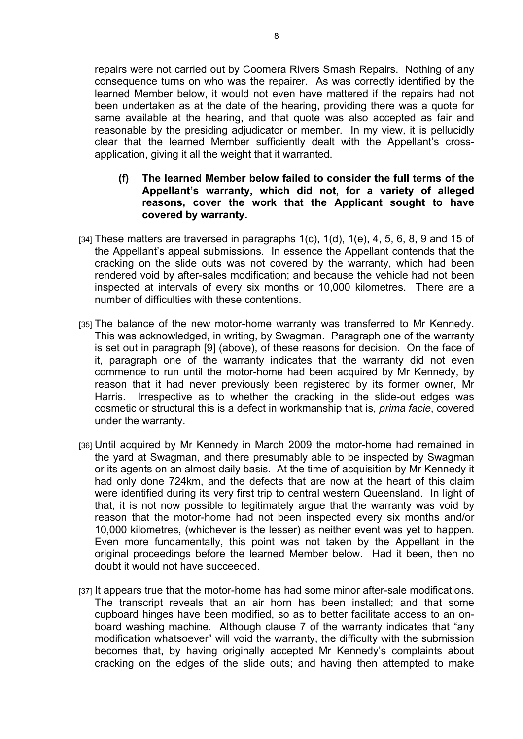repairs were not carried out by Coomera Rivers Smash Repairs. Nothing of any consequence turns on who was the repairer. As was correctly identified by the learned Member below, it would not even have mattered if the repairs had not been undertaken as at the date of the hearing, providing there was a quote for same available at the hearing, and that quote was also accepted as fair and reasonable by the presiding adjudicator or member. In my view, it is pellucidly clear that the learned Member sufficiently dealt with the Appellant's crossapplication, giving it all the weight that it warranted.

- **(f) The learned Member below failed to consider the full terms of the Appellant's warranty, which did not, for a variety of alleged reasons, cover the work that the Applicant sought to have covered by warranty.**
- $[34]$  These matters are traversed in paragraphs  $1(c)$ ,  $1(d)$ ,  $1(e)$ ,  $4$ ,  $5$ ,  $6$ ,  $8$ ,  $9$  and  $15$  of the Appellant's appeal submissions. In essence the Appellant contends that the cracking on the slide outs was not covered by the warranty, which had been rendered void by after-sales modification; and because the vehicle had not been inspected at intervals of every six months or 10,000 kilometres. There are a number of difficulties with these contentions.
- [35] The balance of the new motor-home warranty was transferred to Mr Kennedy. This was acknowledged, in writing, by Swagman. Paragraph one of the warranty is set out in paragraph [9] (above), of these reasons for decision. On the face of it, paragraph one of the warranty indicates that the warranty did not even commence to run until the motor-home had been acquired by Mr Kennedy, by reason that it had never previously been registered by its former owner, Mr Harris. Irrespective as to whether the cracking in the slide-out edges was cosmetic or structural this is a defect in workmanship that is, *prima facie*, covered under the warranty.
- [36] Until acquired by Mr Kennedy in March 2009 the motor-home had remained in the yard at Swagman, and there presumably able to be inspected by Swagman or its agents on an almost daily basis. At the time of acquisition by Mr Kennedy it had only done 724km, and the defects that are now at the heart of this claim were identified during its very first trip to central western Queensland. In light of that, it is not now possible to legitimately argue that the warranty was void by reason that the motor-home had not been inspected every six months and/or 10,000 kilometres, (whichever is the lesser) as neither event was yet to happen. Even more fundamentally, this point was not taken by the Appellant in the original proceedings before the learned Member below. Had it been, then no doubt it would not have succeeded.
- [37] It appears true that the motor-home has had some minor after-sale modifications. The transcript reveals that an air horn has been installed; and that some cupboard hinges have been modified, so as to better facilitate access to an onboard washing machine. Although clause 7 of the warranty indicates that "any modification whatsoever" will void the warranty, the difficulty with the submission becomes that, by having originally accepted Mr Kennedy's complaints about cracking on the edges of the slide outs; and having then attempted to make